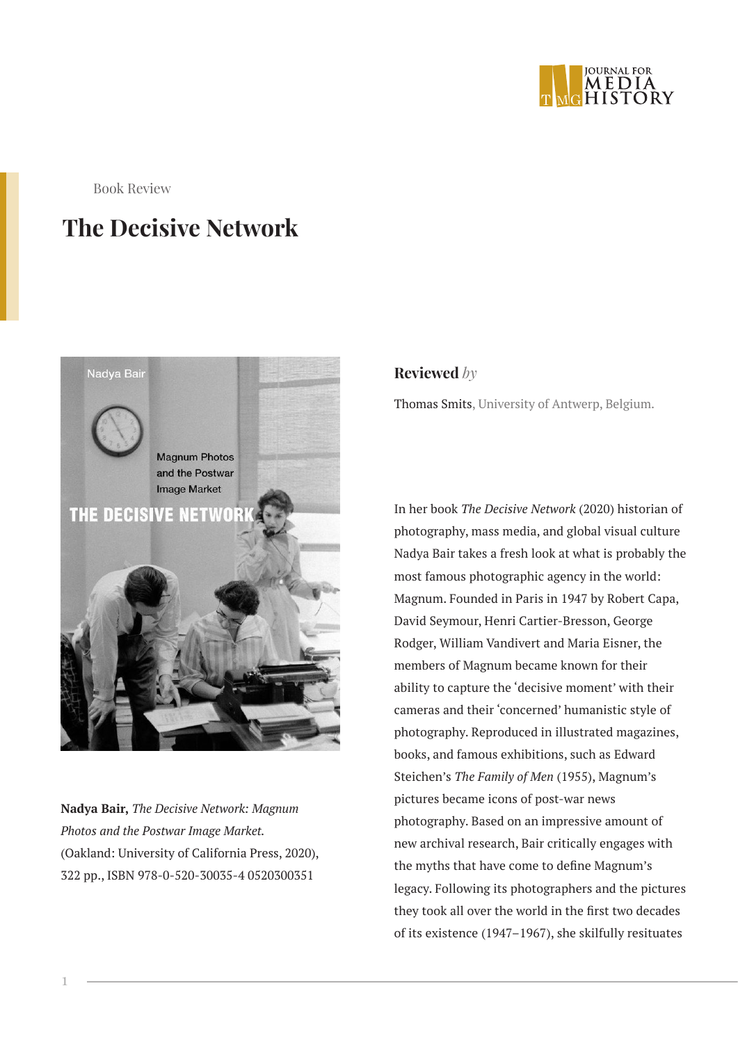

Book Review

## **The Decisive Network**



**Nadya Bair,** *The Decisive Network: Magnum Photos and the Postwar Image Market.* (Oakland: University of California Press, 2020), 322 pp., ISBN 978-0-520-30035-4 0520300351

**Reviewed** *by*

Thomas Smits, University of Antwerp, Belgium.

In her book *The Decisive Network* (2020) historian of photography, mass media, and global visual culture Nadya Bair takes a fresh look at what is probably the most famous photographic agency in the world: Magnum. Founded in Paris in 1947 by Robert Capa, David Seymour, Henri Cartier-Bresson, George Rodger, William Vandivert and Maria Eisner, the members of Magnum became known for their ability to capture the 'decisive moment' with their cameras and their 'concerned' humanistic style of photography. Reproduced in illustrated magazines, books, and famous exhibitions, such as Edward Steichen's *The Family of Men* (1955), Magnum's pictures became icons of post-war news photography. Based on an impressive amount of new archival research, Bair critically engages with the myths that have come to define Magnum's legacy. Following its photographers and the pictures they took all over the world in the first two decades of its existence (1947–1967), she skilfully resituates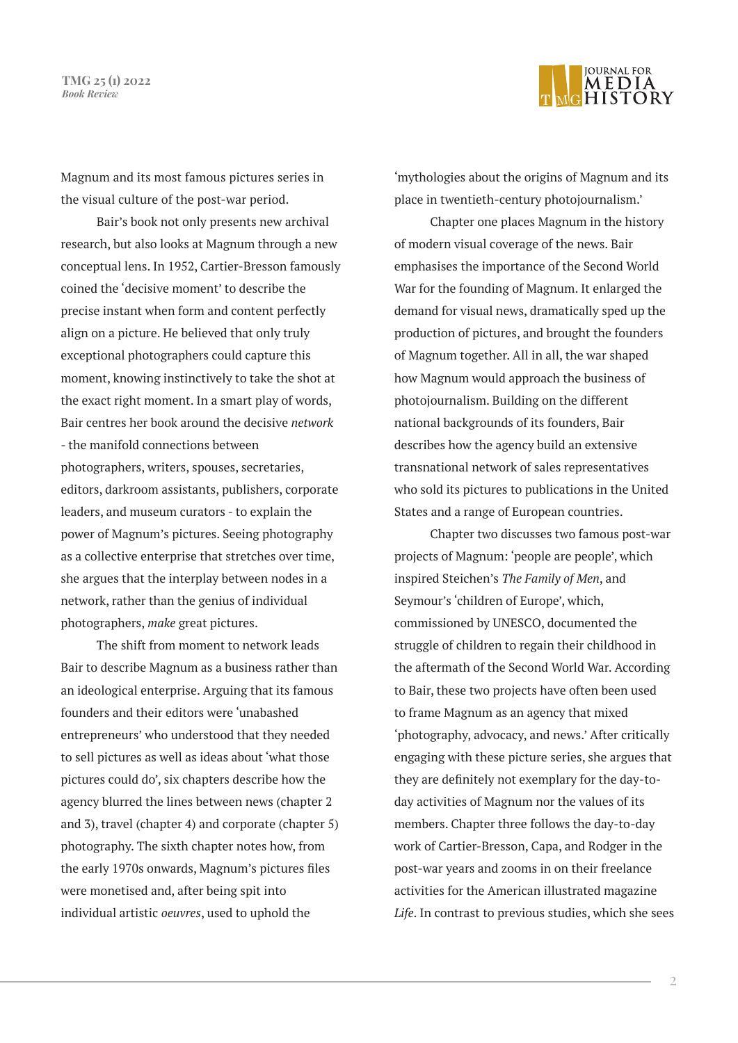**TMG 25 (1) 2022** *Book Review*



Magnum and its most famous pictures series in the visual culture of the post-war period.

Bair's book not only presents new archival research, but also looks at Magnum through a new conceptual lens. In 1952, Cartier-Bresson famously coined the 'decisive moment' to describe the precise instant when form and content perfectly align on a picture. He believed that only truly exceptional photographers could capture this moment, knowing instinctively to take the shot at the exact right moment. In a smart play of words, Bair centres her book around the decisive *network* - the manifold connections between photographers, writers, spouses, secretaries, editors, darkroom assistants, publishers, corporate leaders, and museum curators - to explain the power of Magnum's pictures. Seeing photography as a collective enterprise that stretches over time, she argues that the interplay between nodes in a network, rather than the genius of individual photographers, *make* great pictures.

The shift from moment to network leads Bair to describe Magnum as a business rather than an ideological enterprise. Arguing that its famous founders and their editors were 'unabashed entrepreneurs' who understood that they needed to sell pictures as well as ideas about 'what those pictures could do', six chapters describe how the agency blurred the lines between news (chapter 2 and 3), travel (chapter 4) and corporate (chapter 5) photography. The sixth chapter notes how, from the early 1970s onwards, Magnum's pictures files were monetised and, after being spit into individual artistic *oeuvres*, used to uphold the

'mythologies about the origins of Magnum and its place in twentieth-century photojournalism.'

Chapter one places Magnum in the history of modern visual coverage of the news. Bair emphasises the importance of the Second World War for the founding of Magnum. It enlarged the demand for visual news, dramatically sped up the production of pictures, and brought the founders of Magnum together. All in all, the war shaped how Magnum would approach the business of photojournalism. Building on the different national backgrounds of its founders, Bair describes how the agency build an extensive transnational network of sales representatives who sold its pictures to publications in the United States and a range of European countries.

Chapter two discusses two famous post-war projects of Magnum: 'people are people', which inspired Steichen's *The Family of Men*, and Seymour's 'children of Europe', which, commissioned by UNESCO, documented the struggle of children to regain their childhood in the aftermath of the Second World War. According to Bair, these two projects have often been used to frame Magnum as an agency that mixed 'photography, advocacy, and news.' After critically engaging with these picture series, she argues that they are definitely not exemplary for the day-today activities of Magnum nor the values of its members. Chapter three follows the day-to-day work of Cartier-Bresson, Capa, and Rodger in the post-war years and zooms in on their freelance activities for the American illustrated magazine *Life*. In contrast to previous studies, which she sees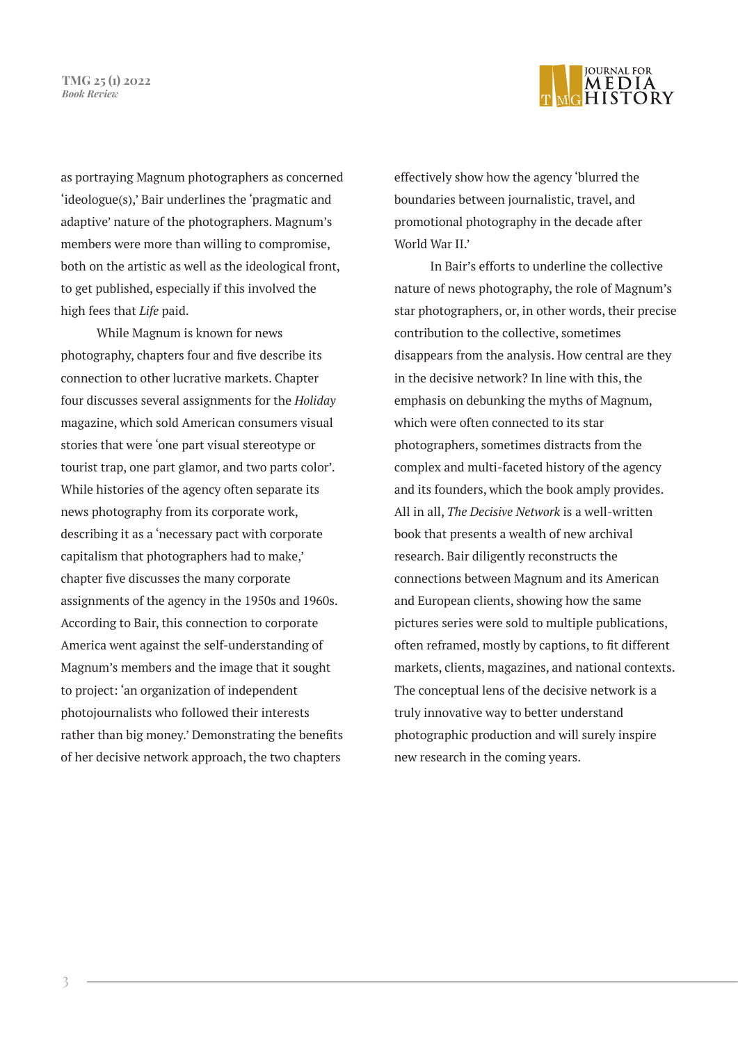**TMG 25 (1) 2022** *Book Review*



as portraying Magnum photographers as concerned 'ideologue(s),' Bair underlines the 'pragmatic and adaptive' nature of the photographers. Magnum's members were more than willing to compromise, both on the artistic as well as the ideological front, to get published, especially if this involved the high fees that *Life* paid.

While Magnum is known for news photography, chapters four and five describe its connection to other lucrative markets. Chapter four discusses several assignments for the *Holiday*  magazine, which sold American consumers visual stories that were 'one part visual stereotype or tourist trap, one part glamor, and two parts color'. While histories of the agency often separate its news photography from its corporate work, describing it as a 'necessary pact with corporate capitalism that photographers had to make,' chapter five discusses the many corporate assignments of the agency in the 1950s and 1960s. According to Bair, this connection to corporate America went against the self-understanding of Magnum's members and the image that it sought to project: 'an organization of independent photojournalists who followed their interests rather than big money.' Demonstrating the benefits of her decisive network approach, the two chapters

effectively show how the agency 'blurred the boundaries between journalistic, travel, and promotional photography in the decade after World War II.'

In Bair's efforts to underline the collective nature of news photography, the role of Magnum's star photographers, or, in other words, their precise contribution to the collective, sometimes disappears from the analysis. How central are they in the decisive network? In line with this, the emphasis on debunking the myths of Magnum, which were often connected to its star photographers, sometimes distracts from the complex and multi-faceted history of the agency and its founders, which the book amply provides. All in all, *The Decisive Network* is a well-written book that presents a wealth of new archival research. Bair diligently reconstructs the connections between Magnum and its American and European clients, showing how the same pictures series were sold to multiple publications, often reframed, mostly by captions, to fit different markets, clients, magazines, and national contexts. The conceptual lens of the decisive network is a truly innovative way to better understand photographic production and will surely inspire new research in the coming years.